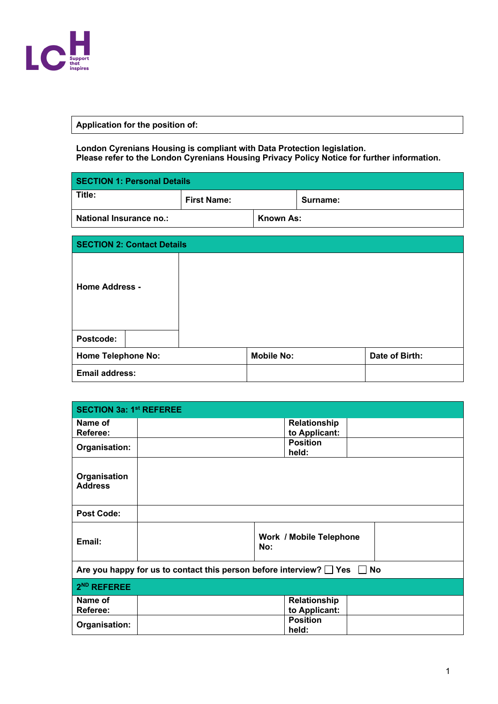

## **Application for the position of:**

**London Cyrenians Housing is compliant with Data Protection legislation. Please refer to the London Cyrenians Housing Privacy Policy Notice for further information.** 

| <b>SECTION 1: Personal Details</b> |                    |           |          |
|------------------------------------|--------------------|-----------|----------|
| Title:                             | <b>First Name:</b> |           | Surname: |
| <b>National Insurance no.:</b>     |                    | Known As: |          |

| <b>SECTION 2: Contact Details</b> |                   |                |  |
|-----------------------------------|-------------------|----------------|--|
| <b>Home Address -</b>             |                   |                |  |
| Postcode:                         |                   |                |  |
| <b>Home Telephone No:</b>         | <b>Mobile No:</b> | Date of Birth: |  |
| <b>Email address:</b>             |                   |                |  |

| <b>SECTION 3a: 1st REFEREE</b>                                                     |                                       |  |  |
|------------------------------------------------------------------------------------|---------------------------------------|--|--|
| Name of                                                                            | Relationship                          |  |  |
| Referee:                                                                           | to Applicant:                         |  |  |
| Organisation:                                                                      | <b>Position</b><br>held:              |  |  |
| Organisation<br><b>Address</b>                                                     |                                       |  |  |
| <b>Post Code:</b>                                                                  |                                       |  |  |
| Email:                                                                             | <b>Work / Mobile Telephone</b><br>No: |  |  |
| Are you happy for us to contact this person before interview? $\Box$ Yes $\Box$ No |                                       |  |  |
| 2 <sup>ND</sup> REFEREE                                                            |                                       |  |  |
| Name of                                                                            | Relationship                          |  |  |
| Referee:                                                                           | to Applicant:                         |  |  |
| Organisation:                                                                      | <b>Position</b><br>held:              |  |  |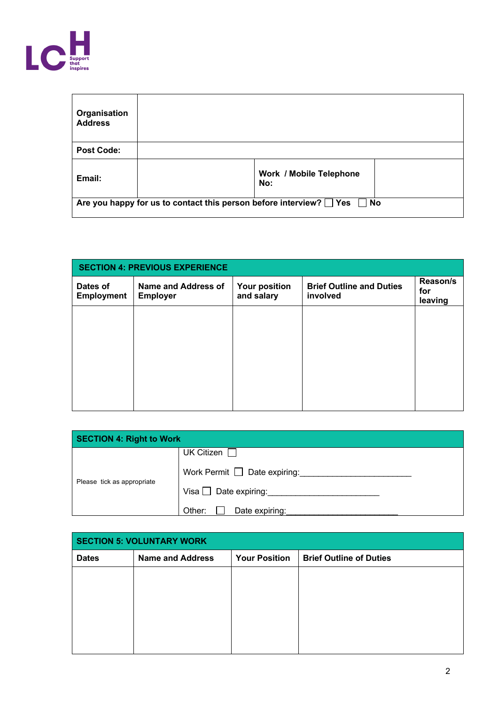

| Organisation<br><b>Address</b> |                                                                                |
|--------------------------------|--------------------------------------------------------------------------------|
| <b>Post Code:</b>              |                                                                                |
| Email:                         | <b>Work / Mobile Telephone</b><br>No:                                          |
|                                | Are you happy for us to contact this person before interview? $\Box$ Yes<br>No |

| <b>SECTION 4: PREVIOUS EXPERIENCE</b> |                                        |                                    |                                             |                            |
|---------------------------------------|----------------------------------------|------------------------------------|---------------------------------------------|----------------------------|
| Dates of<br><b>Employment</b>         | Name and Address of<br><b>Employer</b> | <b>Your position</b><br>and salary | <b>Brief Outline and Duties</b><br>involved | Reason/s<br>for<br>leaving |
|                                       |                                        |                                    |                                             |                            |
|                                       |                                        |                                    |                                             |                            |
|                                       |                                        |                                    |                                             |                            |
|                                       |                                        |                                    |                                             |                            |
|                                       |                                        |                                    |                                             |                            |

| <b>SECTION 4: Right to Work</b> |                                   |  |
|---------------------------------|-----------------------------------|--|
|                                 | <b>UK Citizen</b>                 |  |
| Please tick as appropriate      | Work Permit $\Box$ Date expiring: |  |
|                                 | Visa $\Box$ Date expiring:        |  |
|                                 | Date expiring:<br>Other:          |  |

| <b>SECTION 5: VOLUNTARY WORK</b> |                         |                      |                                |  |
|----------------------------------|-------------------------|----------------------|--------------------------------|--|
| <b>Dates</b>                     | <b>Name and Address</b> | <b>Your Position</b> | <b>Brief Outline of Duties</b> |  |
|                                  |                         |                      |                                |  |
|                                  |                         |                      |                                |  |
|                                  |                         |                      |                                |  |
|                                  |                         |                      |                                |  |
|                                  |                         |                      |                                |  |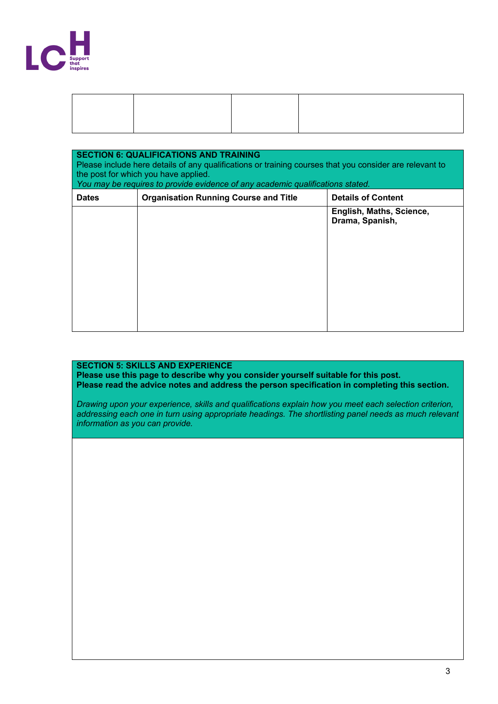

| <b>SECTION 6: QUALIFICATIONS AND TRAINING</b><br>Please include here details of any qualifications or training courses that you consider are relevant to<br>the post for which you have applied.<br>You may be requires to provide evidence of any academic qualifications stated. |                                              |                                             |  |
|------------------------------------------------------------------------------------------------------------------------------------------------------------------------------------------------------------------------------------------------------------------------------------|----------------------------------------------|---------------------------------------------|--|
| <b>Dates</b>                                                                                                                                                                                                                                                                       | <b>Organisation Running Course and Title</b> | <b>Details of Content</b>                   |  |
|                                                                                                                                                                                                                                                                                    |                                              | English, Maths, Science,<br>Drama, Spanish, |  |

## **SECTION 5: SKILLS AND EXPERIENCE**

**Please use this page to describe why you consider yourself suitable for this post. Please read the advice notes and address the person specification in completing this section.**

*Drawing upon your experience, skills and qualifications explain how you meet each selection criterion, addressing each one in turn using appropriate headings. The shortlisting panel needs as much relevant information as you can provide.*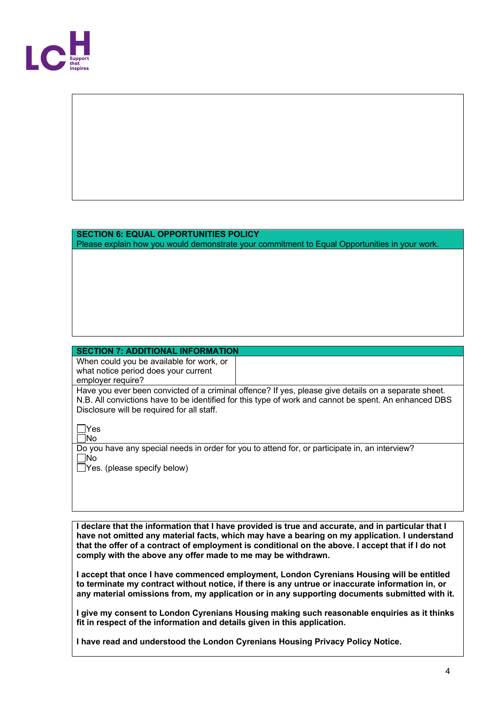

## **SECTION 6: EQUAL OPPORTUNITIES POLICY**

Please explain how you would demonstrate your commitment to Equal Opportunities in your work.

## **SECTION 7: ADDITIONAL INFORMATION**

When could you be available for work, or what notice period does your current employer require?

Have you ever been convicted of a criminal offence? If yes, please give details on a separate sheet. N.B. All convictions have to be identified for this type of work and cannot be spent. An enhanced DBS Disclosure will be required for all staff.

 $\Box$ Yes No

Do you have any special needs in order for you to attend for, or participate in, an interview?  $\square$ No

 $\Box$  Yes. (please specify below)

**I declare that the information that I have provided is true and accurate, and in particular that I have not omitted any material facts, which may have a bearing on my application. I understand that the offer of a contract of employment is conditional on the above. I accept that if I do not comply with the above any offer made to me may be withdrawn.**

**I accept that once I have commenced employment, London Cyrenians Housing will be entitled to terminate my contract without notice, if there is any untrue or inaccurate information in, or any material omissions from, my application or in any supporting documents submitted with it.**

**I give my consent to London Cyrenians Housing making such reasonable enquiries as it thinks fit in respect of the information and details given in this application.**

**I have read and understood the London Cyrenians Housing Privacy Policy Notice.**